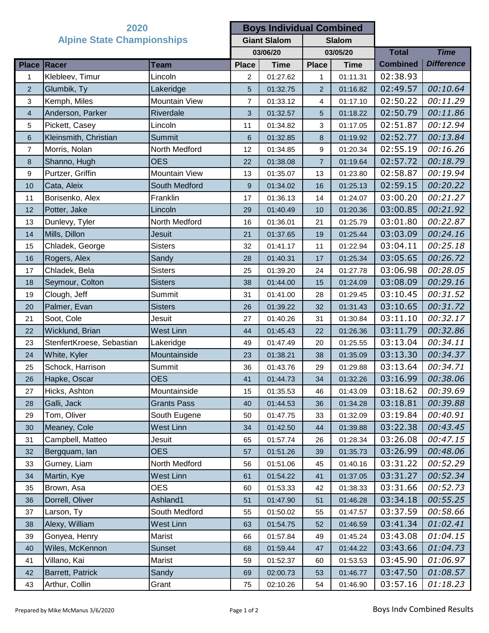| 2020                              |                           | <b>Boys Individual Combined</b> |                     |             |                |             |                     |                   |
|-----------------------------------|---------------------------|---------------------------------|---------------------|-------------|----------------|-------------|---------------------|-------------------|
| <b>Alpine State Championships</b> |                           |                                 | <b>Giant Slalom</b> |             | <b>Slalom</b>  |             |                     |                   |
|                                   |                           |                                 | 03/06/20            |             | 03/05/20       |             | <b>Total</b>        | <b>Time</b>       |
|                                   | Place Racer               | <b>Team</b>                     | <b>Place</b>        | <b>Time</b> | <b>Place</b>   | <b>Time</b> | <b>Combined</b>     | <b>Difference</b> |
| 1                                 | Klebleev, Timur           | Lincoln                         | $\overline{c}$      | 01:27.62    | $\mathbf{1}$   | 01:11.31    | 02:38.93            |                   |
| $\overline{2}$                    | Glumbik, Ty               | Lakeridge                       | 5                   | 01:32.75    | 2              | 01:16.82    | 02:49.57            | 00:10.64          |
| 3                                 | Kemph, Miles              | Mountain View                   | 7                   | 01:33.12    | 4              | 01:17.10    | 02:50.22            | 00:11.29          |
| $\overline{4}$                    | Anderson, Parker          | Riverdale                       | 3                   | 01:32.57    | 5              | 01:18.22    | 02:50.79            | 00:11.86          |
| 5                                 | Pickett, Casey            | Lincoln                         | 11                  | 01:34.82    | 3              | 01:17.05    | 02:51.87            | 00:12.94          |
| $6\phantom{1}$                    | Kleinsmith, Christian     | <b>Summit</b>                   | 6                   | 01:32.85    | 8              | 01:19.92    | 02:52.77            | 00:13.84          |
| $\overline{7}$                    | Morris, Nolan             | North Medford                   | 12                  | 01:34.85    | 9              | 01:20.34    | 02:55.19            | 00:16.26          |
| 8                                 | Shanno, Hugh              | <b>OES</b>                      | 22                  | 01:38.08    | $\overline{7}$ | 01:19.64    | 02:57.72            | 00:18.79          |
| 9                                 | Purtzer, Griffin          | Mountain View                   | 13                  | 01:35.07    | 13             | 01:23.80    | 02:58.87            | 00:19.94          |
| 10                                | Cata, Aleix               | South Medford                   | 9                   | 01:34.02    | 16             | 01:25.13    | 02:59.15            | 00:20.22          |
| 11                                | Borisenko, Alex           | Franklin                        | 17                  | 01:36.13    | 14             | 01:24.07    | 03:00.20            | 00:21.27          |
| 12                                | Potter, Jake              | Lincoln                         | 29                  | 01:40.49    | 10             | 01:20.36    | 03:00.85            | 00:21.92          |
| 13                                | Dunlevy, Tyler            | North Medford                   | 16                  | 01:36.01    | 21             | 01:25.79    | 03:01.80            | 00:22.87          |
| 14                                | Mills, Dillon             | <b>Jesuit</b>                   | 21                  | 01:37.65    | 19             | 01:25.44    | 03:03.09            | 00:24.16          |
| 15                                | Chladek, George           | <b>Sisters</b>                  | 32                  | 01:41.17    | 11             | 01:22.94    | 03:04.11            | 00:25.18          |
| 16                                | Rogers, Alex              | Sandy                           | 28                  | 01:40.31    | 17             | 01:25.34    | 03:05.65            | 00:26.72          |
| 17                                | Chladek, Bela             | <b>Sisters</b>                  | 25                  | 01:39.20    | 24             | 01:27.78    | 03:06.98            | 00:28.05          |
| 18                                | Seymour, Colton           | <b>Sisters</b>                  | 38                  | 01:44.00    | 15             | 01:24.09    | 03:08.09            | 00:29.16          |
| 19                                | Clough, Jeff              | Summit                          | 31                  | 01:41.00    | 28             | 01:29.45    | 03:10.45            | 00:31.52          |
| 20                                | Palmer, Evan              | <b>Sisters</b>                  | 26                  | 01:39.22    | 32             | 01:31.43    | 03:10.65            | 00:31.72          |
| 21                                | Soot, Cole                | Jesuit                          | 27                  | 01:40.26    | 31             | 01:30.84    | 03:11.10            | 00:32.17          |
| 22                                | Wicklund, Brian           | <b>West Linn</b>                | 44                  | 01:45.43    | 22             | 01:26.36    | 03:11.79            | 00:32.86          |
| 23                                | StenfertKroese, Sebastian | Lakeridge                       | 49                  | 01:47.49    | 20             | 01:25.55    | 03:13.04            | 00:34.11          |
| 24                                | White, Kyler              | Mountainside                    | 23                  | 01:38.21    | 38             | 01:35.09    | 03:13.30            | 00:34.37          |
| 25                                | Schock, Harrison          | Summit                          | 36                  | 01:43.76    | 29             | 01:29.88    | 03:13.64            | 00:34.71          |
| 26                                | Hapke, Oscar              | <b>OES</b>                      | 41                  | 01:44.73    | 34             |             | $01:32.26$ 03:16.99 | 00:38.06          |
| 27                                | Hicks, Ashton             | Mountainside                    | 15                  | 01:35.53    | 46             | 01:43.09    | 03:18.62            | 00:39.69          |
| 28                                | Galli, Jack               | <b>Grants Pass</b>              | 40                  | 01:44.53    | 36             | 01:34.28    | 03:18.81            | 00:39.88          |
| 29                                | Tom, Oliver               | South Eugene                    | 50                  | 01:47.75    | 33             | 01:32.09    | 03:19.84            | 00:40.91          |
| 30                                | Meaney, Cole              | <b>West Linn</b>                | 34                  | 01:42.50    | 44             | 01:39.88    | 03:22.38            | 00:43.45          |
| 31                                | Campbell, Matteo          | Jesuit                          | 65                  | 01:57.74    | 26             | 01:28.34    | 03:26.08            | 00:47.15          |
| 32                                | Bergquam, lan             | <b>OES</b>                      | 57                  | 01:51.26    | 39             | 01:35.73    | 03:26.99            | 00:48.06          |
| 33                                | Gurney, Liam              | North Medford                   | 56                  | 01:51.06    | 45             | 01:40.16    | 03:31.22            | 00:52.29          |
| 34                                | Martin, Kye               | <b>West Linn</b>                | 61                  | 01:54.22    | 41             | 01:37.05    | 03:31.27            | 00:52.34          |
| 35                                | Brown, Asa                | <b>OES</b>                      | 60                  | 01:53.33    | 42             | 01:38.33    | 03:31.66            | 00:52.73          |
| 36                                | Dorrell, Oliver           | Ashland1                        | 51                  | 01:47.90    | 51             | 01:46.28    | 03:34.18            | 00:55.25          |
| 37                                | Larson, Ty                | South Medford                   | 55                  | 01:50.02    | 55             | 01:47.57    | 03:37.59            | 00:58.66          |
| 38                                | Alexy, William            | <b>West Linn</b>                | 63                  | 01:54.75    | 52             | 01:46.59    | 03:41.34            | 01:02.41          |
| 39                                | Gonyea, Henry             | Marist                          | 66                  | 01:57.84    | 49             | 01:45.24    | 03:43.08            | 01:04.15          |
| 40                                | Wiles, McKennon           | <b>Sunset</b>                   | 68                  | 01:59.44    | 47             | 01:44.22    | 03:43.66            | 01:04.73          |
| 41                                | Villano, Kai              | Marist                          | 59                  | 01:52.37    | 60             | 01:53.53    | 03:45.90            | 01:06.97          |
| 42                                | Barrett, Patrick          | Sandy                           | 69                  | 02:00.73    | 53             | 01:46.77    | 03:47.50            | 01:08.57          |
| 43                                | Arthur, Collin            | Grant                           | 75                  | 02:10.26    | 54             | 01:46.90    | 03:57.16            | 01:18.23          |